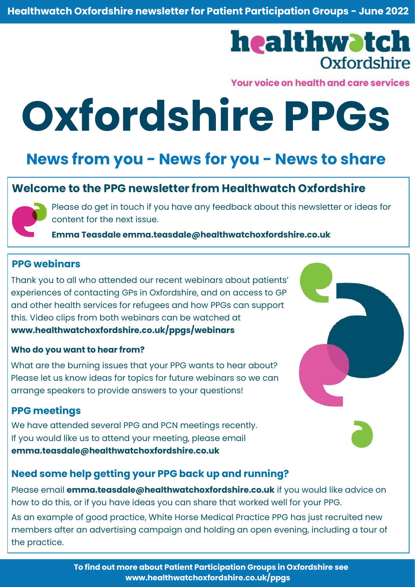## healthwatch **Oxfordshire**

Your voice on health and care services

# **Oxfordshire PPGs**

### **News from you - News for you - News to share**

#### **Welcome to the PPG newsletter from Healthwatch Oxfordshire**



Please do get in touch if you have any feedback about this newsletter or ideas for content for the next issue.

**Emma Teasdale [emma.teasdale@healthwatchoxfordshire.co.uk](mailto:emma.teasdale@healthwatchoxfordshire.co.uk)**

#### **PPG webinars**

Thank you to all who attended our recent webinars about patients' experiences of contacting GPs in Oxfordshire, and on access to GP and other health services for refugees and how PPGs can support this. Video clips from both webinars can be watched at **[www.healthwatchoxfordshire.co.uk/ppgs/webinars](https://healthwatchoxfordshire.co.uk/ppgs/webinars/)** 

#### **Who do you want to hear from?**

What are the burning issues that your PPG wants to hear about? Please let us know ideas for topics for future webinars so we can arrange speakers to provide answers to your questions!

#### **PPG meetings**

We have attended several PPG and PCN meetings recently. If you would like us to attend your meeting, please email **[emma.teasdale@healthwatchoxfordshire.co.uk](mailto:emma.teasdale@healthwatchoxfordshire.co.uk)**

#### **Need some help getting your PPG back up and running?**

Please email **[emma.teasdale@healthwatchoxfordshire.co.uk](mailto:emma.teasdale@healthwatchoxfordshire.co.uk)** if you would like advice on how to do this, or if you have ideas you can share that worked well for your PPG.

As an example of good practice, White Horse Medical Practice PPG has just recruited new members after an advertising campaign and holding an open evening, including a tour of the practice.